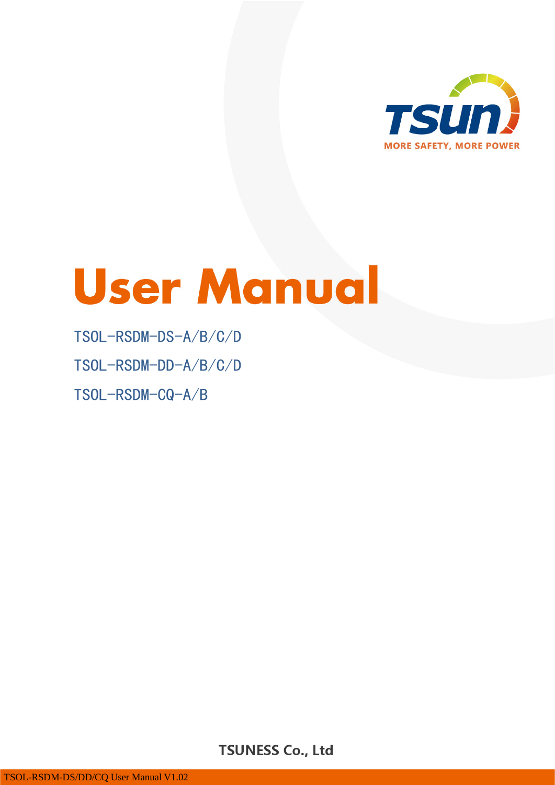

# **User Manual**

## TSOL-RSDM-DS-A/B/C/D

TSOL-RSDM-DD-A/B/C/D

TSOL-RSDM-CQ-A/B

 $\sim$  1  $\sim$  1  $\sim$  1  $\sim$  1  $\sim$  1  $\sim$  1  $\sim$  1  $\sim$  1  $\sim$  1  $\sim$  1  $\sim$  1  $\sim$  1  $\sim$  1  $\sim$  1  $\sim$  1  $\sim$  1  $\sim$  1  $\sim$  1  $\sim$  1  $\sim$  1  $\sim$  1  $\sim$  1  $\sim$  1  $\sim$  1  $\sim$  1  $\sim$  1  $\sim$  1  $\sim$  1  $\sim$  1  $\sim$  1  $\sim$  1  $\sim$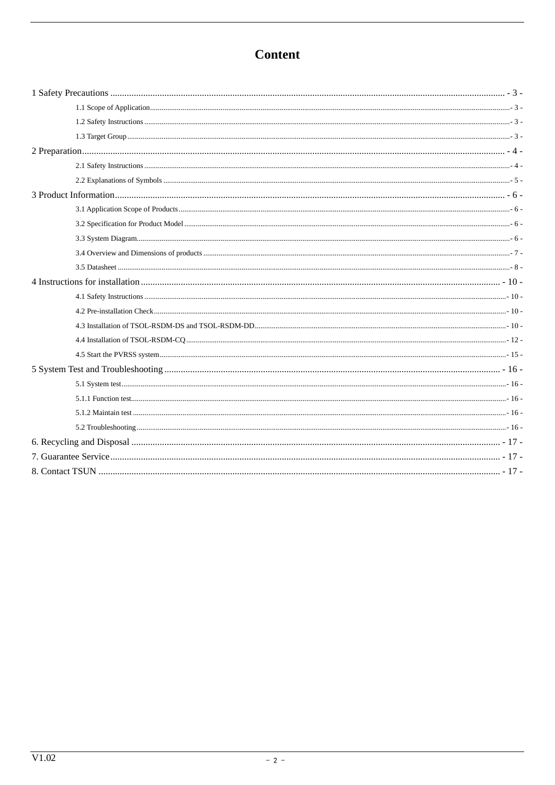## **Content**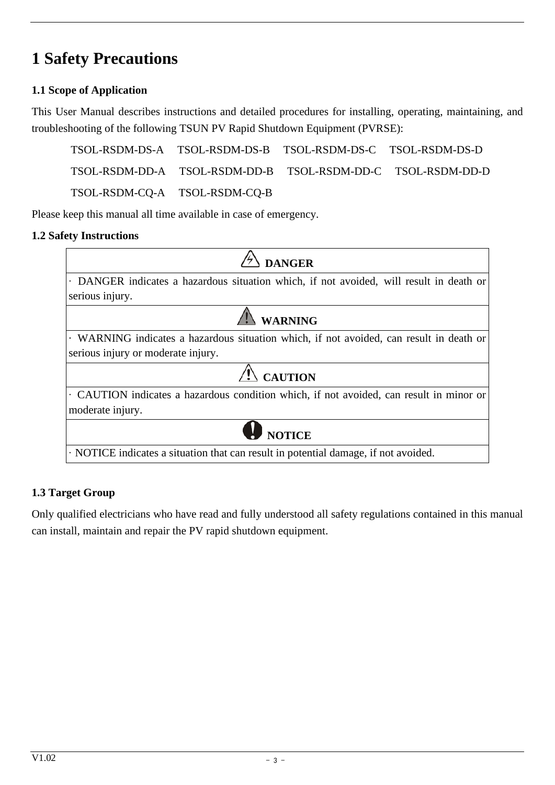# <span id="page-2-0"></span>**1 Safety Precautions**

## <span id="page-2-1"></span>**1.1 Scope of Application**

This User Manual describes instructions and detailed procedures for installing, operating, maintaining, and troubleshooting of the following TSUN PV Rapid Shutdown Equipment (PVRSE):

TSOL-RSDM-DS-A TSOL-RSDM-DS-B TSOL-RSDM-DS-C TSOL-RSDM-DS-D TSOL-RSDM-DD-A TSOL-RSDM-DD-B TSOL-RSDM-DD-C TSOL-RSDM-DD-D TSOL-RSDM-CQ-A TSOL-RSDM-CQ-B

Please keep this manual all time available in case of emergency.

## <span id="page-2-2"></span>**1.2 Safety Instructions**

| <b>DANGER</b>                                                                           |
|-----------------------------------------------------------------------------------------|
| . DANGER indicates a hazardous situation which, if not avoided, will result in death or |
| serious injury.                                                                         |
| <b>WARNING</b>                                                                          |
| WARNING indicates a hazardous situation which, if not avoided, can result in death or   |
| serious injury or moderate injury.                                                      |
| <b>CAUTION</b>                                                                          |
| • CAUTION indicates a hazardous condition which, if not avoided, can result in minor or |
| moderate injury.                                                                        |
| <b>W</b> NOTICE                                                                         |
| NOTICE indicates a situation that can result in potential damage, if not avoided.       |

## <span id="page-2-3"></span>**1.3 Target Group**

Only qualified electricians who have read and fully understood all safety regulations contained in this manual can install, maintain and repair the PV rapid shutdown equipment.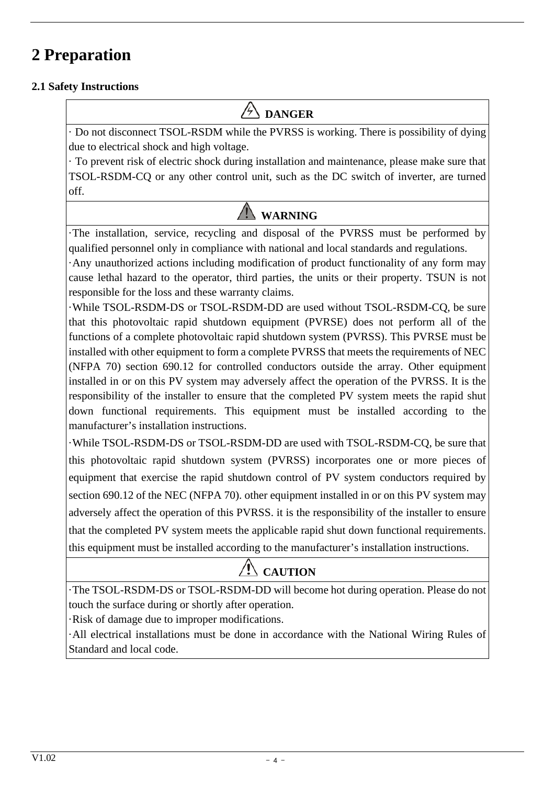# <span id="page-3-0"></span>**2 Preparation**

#### <span id="page-3-1"></span>**2.1 Safety Instructions**

# **DANGER**

· Do not disconnect TSOL-RSDM while the PVRSS is working. There is possibility of dying due to electrical shock and high voltage.

· To prevent risk of electric shock during installation and maintenance, please make sure that TSOL-RSDM-CQ or any other control unit, such as the DC switch of inverter, are turned off.

# **WARNING**

·The installation, service, recycling and disposal of the PVRSS must be performed by qualified personnel only in compliance with national and local standards and regulations.

·Any unauthorized actions including modification of product functionality of any form may cause lethal hazard to the operator, third parties, the units or their property. TSUN is not responsible for the loss and these warranty claims.

·While TSOL-RSDM-DS or TSOL-RSDM-DD are used without TSOL-RSDM-CQ, be sure that this photovoltaic rapid shutdown equipment (PVRSE) does not perform all of the functions of a complete photovoltaic rapid shutdown system (PVRSS). This PVRSE must be installed with other equipment to form a complete PVRSS that meets the requirements of NEC (NFPA 70) section 690.12 for controlled conductors outside the array. Other equipment installed in or on this PV system may adversely affect the operation of the PVRSS. It is the responsibility of the installer to ensure that the completed PV system meets the rapid shut down functional requirements. This equipment must be installed according to the manufacturer's installation instructions.

·While TSOL-RSDM-DS or TSOL-RSDM-DD are used with TSOL-RSDM-CQ, be sure that this photovoltaic rapid shutdown system (PVRSS) incorporates one or more pieces of equipment that exercise the rapid shutdown control of PV system conductors required by section 690.12 of the NEC (NFPA 70). other equipment installed in or on this PV system may adversely affect the operation of this PVRSS. it is the responsibility of the installer to ensure that the completed PV system meets the applicable rapid shut down functional requirements. this equipment must be installed according to the manufacturer's installation instructions.

# **CAUTION**

·The TSOL-RSDM-DS or TSOL-RSDM-DD will become hot during operation. Please do not touch the surface during or shortly after operation.

·Risk of damage due to improper modifications.

·All electrical installations must be done in accordance with the National Wiring Rules of Standard and local code.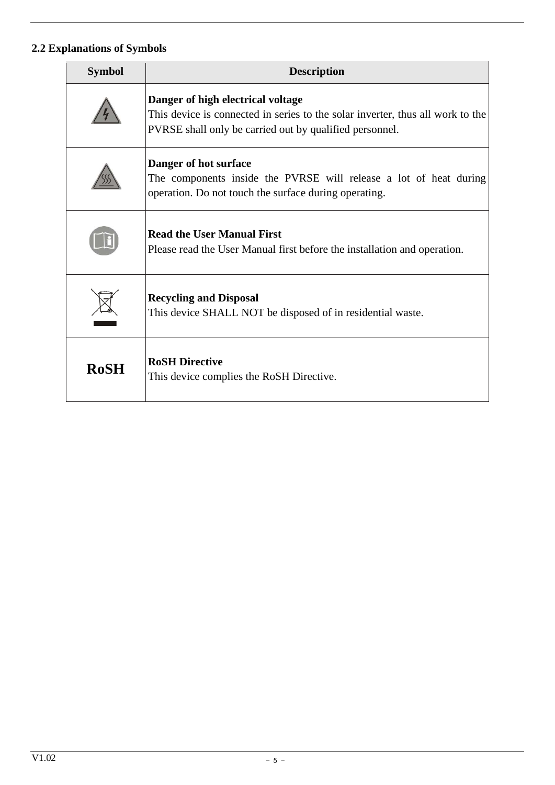## <span id="page-4-0"></span>**2.2 Explanations of Symbols**

| <b>Symbol</b> | <b>Description</b>                                                                                                                                                             |
|---------------|--------------------------------------------------------------------------------------------------------------------------------------------------------------------------------|
|               | Danger of high electrical voltage<br>This device is connected in series to the solar inverter, thus all work to the<br>PVRSE shall only be carried out by qualified personnel. |
|               | Danger of hot surface<br>The components inside the PVRSE will release a lot of heat during<br>operation. Do not touch the surface during operating.                            |
|               | <b>Read the User Manual First</b><br>Please read the User Manual first before the installation and operation.                                                                  |
|               | <b>Recycling and Disposal</b><br>This device SHALL NOT be disposed of in residential waste.                                                                                    |
| <b>RoSH</b>   | <b>RoSH Directive</b><br>This device complies the RoSH Directive.                                                                                                              |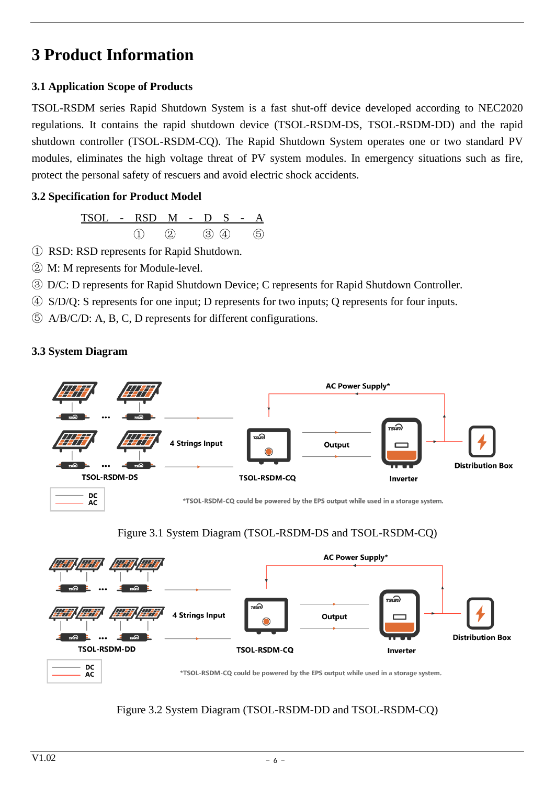## <span id="page-5-0"></span>**3 Product Information**

## <span id="page-5-1"></span>**3.1 Application Scope of Products**

TSOL-RSDM series Rapid Shutdown System is a fast shut-off device developed according to NEC2020 regulations. It contains the rapid shutdown device (TSOL-RSDM-DS, TSOL-RSDM-DD) and the rapid shutdown controller (TSOL-RSDM-CQ). The Rapid Shutdown System operates one or two standard PV modules, eliminates the high voltage threat of PV system modules. In emergency situations such as fire, protect the personal safety of rescuers and avoid electric shock accidents.

#### <span id="page-5-2"></span>**3.2 Specification for Product Model**



- ① RSD: RSD represents for Rapid Shutdown.
- ② M: M represents for Module-level.
- ③ D/C: D represents for Rapid Shutdown Device; C represents for Rapid Shutdown Controller.
- ④ S/D/Q: S represents for one input; D represents for two inputs; Q represents for four inputs.
- ⑤ A/B/C/D: A, B, C, D represents for different configurations.

## <span id="page-5-3"></span>**3.3 System Diagram**

ĀČ









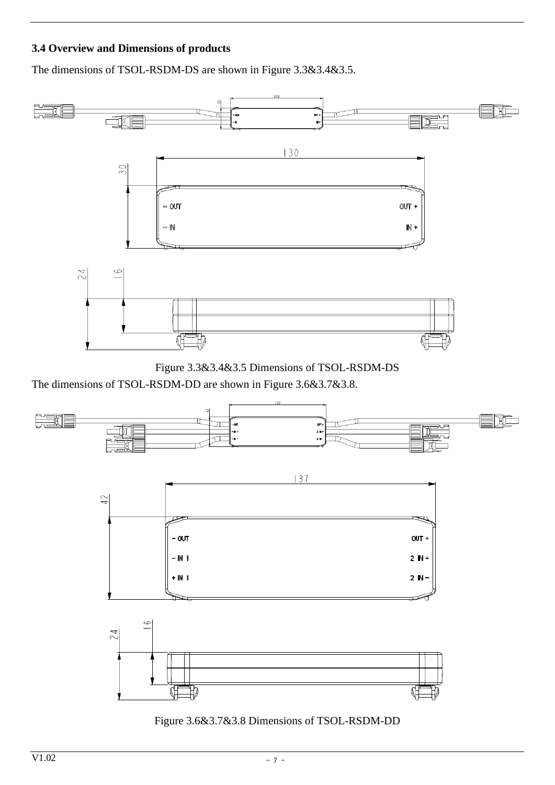#### <span id="page-6-0"></span>**3.4 Overview and Dimensions of products**

The dimensions of TSOL-RSDM-DS are shown in Figure 3.3&3.4&3.5.





The dimensions of TSOL-RSDM-DD are shown in Figure 3.6&3.7&3.8.



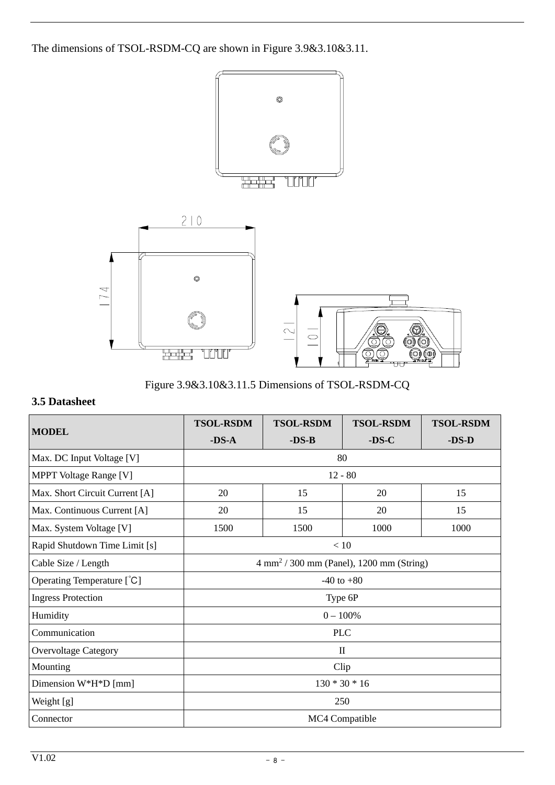The dimensions of TSOL-RSDM-CQ are shown in Figure 3.9&3.10&3.11.



Figure 3.9&3.10&3.11.5 Dimensions of TSOL-RSDM-CQ

#### <span id="page-7-0"></span>**3.5 Datasheet**

| <b>MODEL</b>                   | <b>TSOL-RSDM</b>                                    | <b>TSOL-RSDM</b> | <b>TSOL-RSDM</b> | <b>TSOL-RSDM</b> |
|--------------------------------|-----------------------------------------------------|------------------|------------------|------------------|
|                                | $-DS-A$                                             | $-DS-B$          | $-DS-C$          | $-DS-D$          |
| Max. DC Input Voltage [V]      | 80                                                  |                  |                  |                  |
| <b>MPPT</b> Voltage Range [V]  | $12 - 80$                                           |                  |                  |                  |
| Max. Short Circuit Current [A] | 20                                                  | 15               | 20               | 15               |
| Max. Continuous Current [A]    | 20                                                  | 15               | 20               | 15               |
| Max. System Voltage [V]        | 1500                                                | 1500             | 1000             | 1000             |
| Rapid Shutdown Time Limit [s]  | < 10                                                |                  |                  |                  |
| Cable Size / Length            | $4 \text{ mm}^2$ / 300 mm (Panel), 1200 mm (String) |                  |                  |                  |
| Operating Temperature [°C]     | $-40$ to $+80$                                      |                  |                  |                  |
| <b>Ingress Protection</b>      | Type 6P                                             |                  |                  |                  |
| Humidity                       | $0 - 100%$                                          |                  |                  |                  |
| Communication                  | <b>PLC</b>                                          |                  |                  |                  |
| <b>Overvoltage Category</b>    | $\mathbf{I}$                                        |                  |                  |                  |
| Mounting                       | Clip                                                |                  |                  |                  |
| Dimension $W^*H^*D$ [mm]       | $130 * 30 * 16$                                     |                  |                  |                  |
| Weight [g]                     | 250                                                 |                  |                  |                  |
| Connector                      | MC4 Compatible                                      |                  |                  |                  |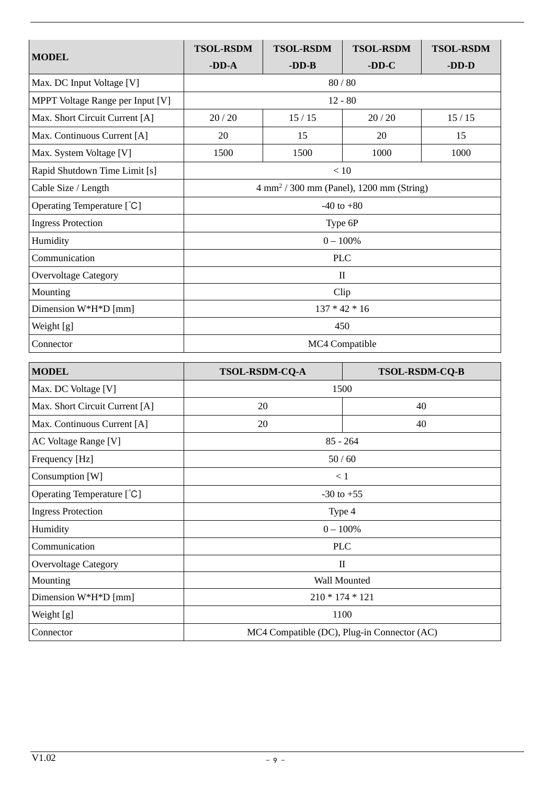|                                  | <b>TSOL-RSDM</b>                                            | <b>TSOL-RSDM</b> | <b>TSOL-RSDM</b> | <b>TSOL-RSDM</b> |
|----------------------------------|-------------------------------------------------------------|------------------|------------------|------------------|
| <b>MODEL</b>                     | $-DD-A$                                                     | $-DD-B$          | $-DD-C$          | $-DD-D$          |
| Max. DC Input Voltage [V]        | 80 / 80                                                     |                  |                  |                  |
| MPPT Voltage Range per Input [V] | $12 - 80$                                                   |                  |                  |                  |
| Max. Short Circuit Current [A]   | 20/20                                                       | 15/15            | 20/20            | $15/15$          |
| Max. Continuous Current [A]      | 20                                                          | 15               | 20               | 15               |
| Max. System Voltage [V]          | 1500                                                        | 1500             | 1000             | 1000             |
| Rapid Shutdown Time Limit [s]    | < 10                                                        |                  |                  |                  |
| Cable Size / Length              | $4 \text{ mm}^2 / 300 \text{ mm}$ (Panel), 1200 mm (String) |                  |                  |                  |
| Operating Temperature [°C]       | $-40$ to $+80$                                              |                  |                  |                  |
| <b>Ingress Protection</b>        | Type 6P                                                     |                  |                  |                  |
| Humidity                         | $0 - 100%$                                                  |                  |                  |                  |
| Communication                    | <b>PLC</b>                                                  |                  |                  |                  |
| <b>Overvoltage Category</b>      | $\mathbf{I}$                                                |                  |                  |                  |
| Mounting                         | Clip                                                        |                  |                  |                  |
| Dimension W*H*D [mm]             | $137 * 42 * 16$                                             |                  |                  |                  |
| Weight [g]                       | 450                                                         |                  |                  |                  |
| Connector                        | MC4 Compatible                                              |                  |                  |                  |

| <b>MODEL</b>                   | <b>TSOL-RSDM-CQ-A</b>                       | <b>TSOL-RSDM-CQ-B</b> |  |
|--------------------------------|---------------------------------------------|-----------------------|--|
| Max. DC Voltage [V]            | 1500                                        |                       |  |
| Max. Short Circuit Current [A] | 20<br>40                                    |                       |  |
| Max. Continuous Current [A]    | 20<br>40                                    |                       |  |
| AC Voltage Range [V]           | $85 - 264$                                  |                       |  |
| Frequency [Hz]                 | 50/60                                       |                       |  |
| Consumption [W]                | < 1                                         |                       |  |
| Operating Temperature [°C]     | $-30$ to $+55$                              |                       |  |
| <b>Ingress Protection</b>      | Type 4                                      |                       |  |
| Humidity                       | $0 - 100\%$                                 |                       |  |
| Communication                  | <b>PLC</b>                                  |                       |  |
| <b>Overvoltage Category</b>    | $\mathbf{I}$                                |                       |  |
| Mounting                       | Wall Mounted                                |                       |  |
| Dimension $W^*H^*D$ [mm]       | $210 * 174 * 121$                           |                       |  |
| Weight [g]                     | 1100                                        |                       |  |
| Connector                      | MC4 Compatible (DC), Plug-in Connector (AC) |                       |  |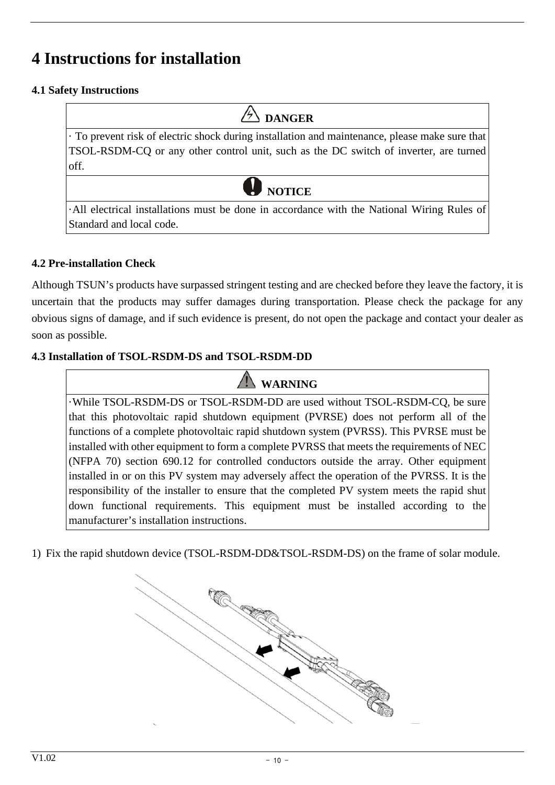## <span id="page-9-0"></span>**4 Instructions for installation**

#### <span id="page-9-1"></span>**4.1 Safety Instructions**

**DANGER** · To prevent risk of electric shock during installation and maintenance, please make sure that TSOL-RSDM-CQ or any other control unit, such as the DC switch of inverter, are turned off. **NOTICE**

·All electrical installations must be done in accordance with the National Wiring Rules of Standard and local code.

#### <span id="page-9-2"></span>**4.2 Pre-installation Check**

Although TSUN's products have surpassed stringent testing and are checked before they leave the factory, it is uncertain that the products may suffer damages during transportation. Please check the package for any obvious signs of damage, and if such evidence is present, do not open the package and contact your dealer as soon as possible.

#### <span id="page-9-3"></span>**4.3 Installation of TSOL-RSDM-DS and TSOL-RSDM-DD**

**WARNING**

·While TSOL-RSDM-DS or TSOL-RSDM-DD are used without TSOL-RSDM-CQ, be sure that this photovoltaic rapid shutdown equipment (PVRSE) does not perform all of the functions of a complete photovoltaic rapid shutdown system (PVRSS). This PVRSE must be installed with other equipment to form a complete PVRSS that meets the requirements of NEC (NFPA 70) section 690.12 for controlled conductors outside the array. Other equipment installed in or on this PV system may adversely affect the operation of the PVRSS. It is the responsibility of the installer to ensure that the completed PV system meets the rapid shut down functional requirements. This equipment must be installed according to the manufacturer's installation instructions.

1) Fix the rapid shutdown device (TSOL-RSDM-DD&TSOL-RSDM-DS) on the frame of solar module.

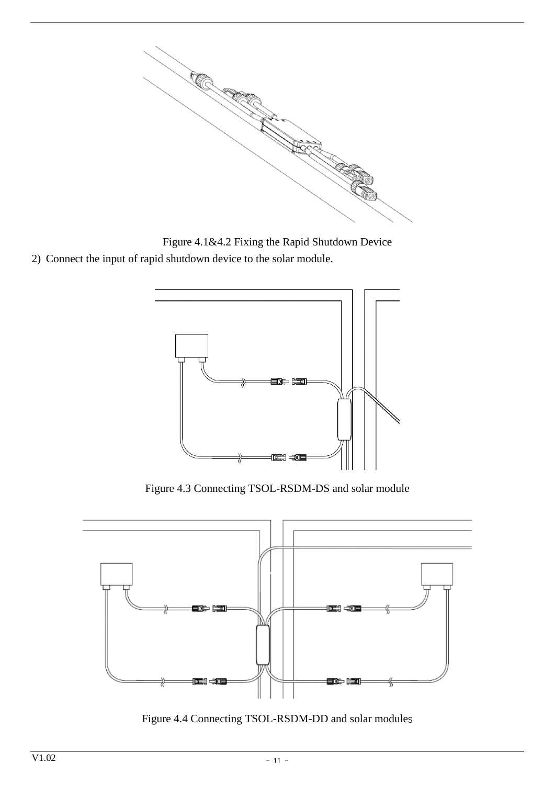

Figure 4.1&4.2 Fixing the Rapid Shutdown Device

2) Connect the input of rapid shutdown device to the solar module.



Figure 4.3 Connecting TSOL-RSDM-DS and solar module



Figure 4.4 Connecting TSOL-RSDM-DD and solar modules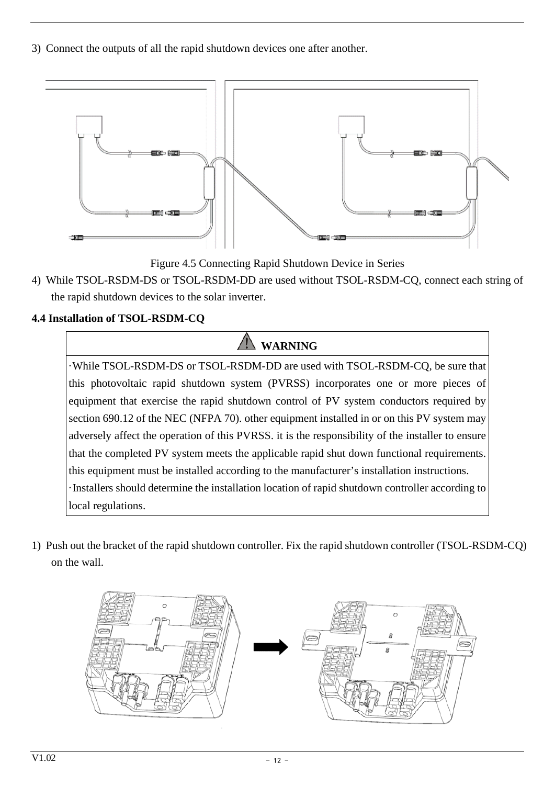3) Connect the outputs of all the rapid shutdown devices one after another.



Figure 4.5 Connecting Rapid Shutdown Device in Series

4) While TSOL-RSDM-DS or TSOL-RSDM-DD are used without TSOL-RSDM-CQ, connect each string of the rapid shutdown devices to the solar inverter.

## <span id="page-11-0"></span>**4.4 Installation of TSOL-RSDM-CQ**

# **WARNING**

·While TSOL-RSDM-DS or TSOL-RSDM-DD are used with TSOL-RSDM-CQ, be sure that this photovoltaic rapid shutdown system (PVRSS) incorporates one or more pieces of equipment that exercise the rapid shutdown control of PV system conductors required by section 690.12 of the NEC (NFPA 70). other equipment installed in or on this PV system may adversely affect the operation of this PVRSS. it is the responsibility of the installer to ensure that the completed PV system meets the applicable rapid shut down functional requirements. this equipment must be installed according to the manufacturer's installation instructions. ·Installers should determine the installation location of rapid shutdown controller according to local regulations.

1) Push out the bracket of the rapid shutdown controller. Fix the rapid shutdown controller (TSOL-RSDM-CQ) on the wall.

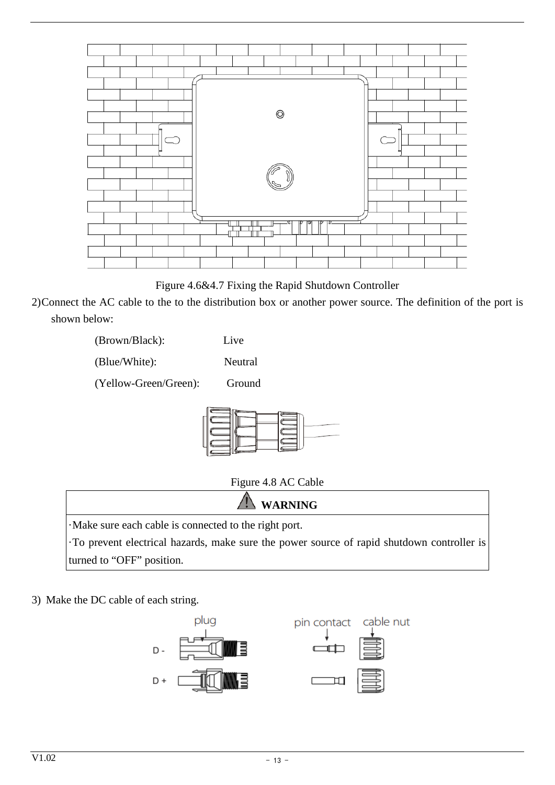

Figure 4.6&4.7 Fixing the Rapid Shutdown Controller

2)Connect the AC cable to the to the distribution box or another power source. The definition of the port is shown below:

| (Brown/Black):        | Live    |
|-----------------------|---------|
| (Blue/White):         | Neutral |
| (Yellow-Green/Green): | Ground  |



Figure 4.8 AC Cable



3) Make the DC cable of each string.

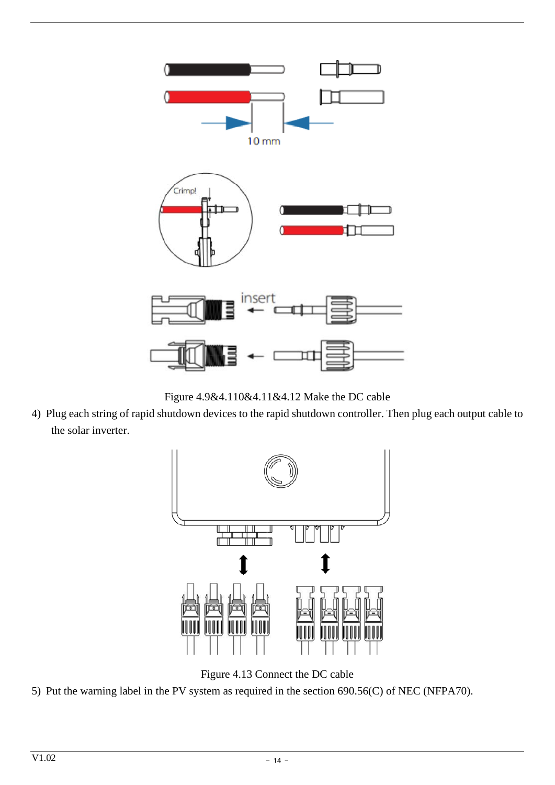

Figure 4.9&4.110&4.11&4.12 Make the DC cable

4) Plug each string of rapid shutdown devices to the rapid shutdown controller. Then plug each output cable to the solar inverter.



Figure 4.13 Connect the DC cable

5) Put the warning label in the PV system as required in the section 690.56(C) of NEC (NFPA70).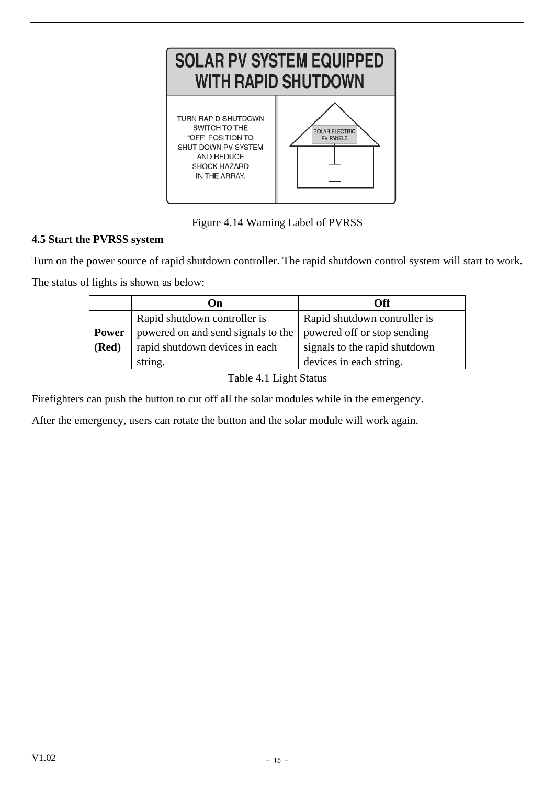

Figure 4.14 Warning Label of PVRSS

## <span id="page-14-0"></span>**4.5 Start the PVRSS system**

Turn on the power source of rapid shutdown controller. The rapid shutdown control system will start to work.

The status of lights is shown as below:

|              | On                                 | Off                           |
|--------------|------------------------------------|-------------------------------|
|              | Rapid shutdown controller is       | Rapid shutdown controller is  |
| <b>Power</b> | powered on and send signals to the | powered off or stop sending   |
| (Red)        | rapid shutdown devices in each     | signals to the rapid shutdown |
|              | string.                            | devices in each string.       |

Table 4.1 Light Status

Firefighters can push the button to cut off all the solar modules while in the emergency.

After the emergency, users can rotate the button and the solar module will work again.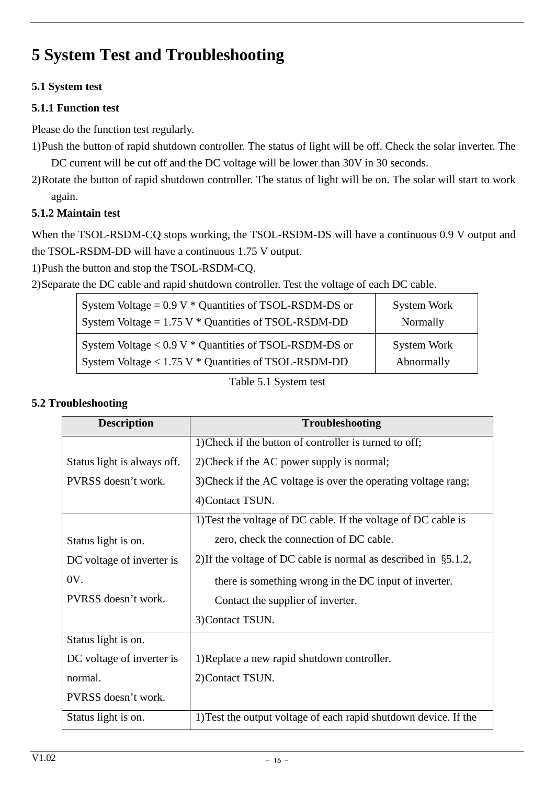# <span id="page-15-0"></span>**5 System Test and Troubleshooting**

## <span id="page-15-1"></span>**5.1 System test**

#### <span id="page-15-2"></span>**5.1.1 Function test**

Please do the function test regularly.

1)Push the button of rapid shutdown controller. The status of light will be off. Check the solar inverter. The DC current will be cut off and the DC voltage will be lower than 30V in 30 seconds.

2)Rotate the button of rapid shutdown controller. The status of light will be on. The solar will start to work again.

#### <span id="page-15-3"></span>**5.1.2 Maintain test**

When the TSOL-RSDM-CQ stops working, the TSOL-RSDM-DS will have a continuous 0.9 V output and the TSOL-RSDM-DD will have a continuous 1.75 V output.

1)Push the button and stop the TSOL-RSDM-CQ.

2)Separate the DC cable and rapid shutdown controller. Test the voltage of each DC cable.

| System Voltage = $0.9 V *$ Quantities of TSOL-RSDM-DS or | System Work |
|----------------------------------------------------------|-------------|
| System Voltage = $1.75$ V $*$ Quantities of TSOL-RSDM-DD | Normally    |
| System Voltage $< 0.9 V *$ Quantities of TSOL-RSDM-DS or | System Work |
| System Voltage < 1.75 V * Quantities of TSOL-RSDM-DD     | Abnormally  |

Table 5.1 System test

#### <span id="page-15-4"></span>**5.2 Troubleshooting**

| <b>Description</b>          | <b>Troubleshooting</b>                                               |
|-----------------------------|----------------------------------------------------------------------|
|                             | 1) Check if the button of controller is turned to off;               |
| Status light is always off. | 2) Check if the AC power supply is normal;                           |
| PVRSS doesn't work.         | 3) Check if the AC voltage is over the operating voltage rang;       |
|                             | 4) Contact TSUN.                                                     |
|                             | 1) Test the voltage of DC cable. If the voltage of DC cable is       |
| Status light is on.         | zero, check the connection of DC cable.                              |
| DC voltage of inverter is   | 2) If the voltage of DC cable is normal as described in $\S 5.1.2$ , |
| OV.                         | there is something wrong in the DC input of inverter.                |
| PVRSS doesn't work.         | Contact the supplier of inverter.                                    |
|                             | 3) Contact TSUN.                                                     |
| Status light is on.         |                                                                      |
| DC voltage of inverter is   | 1) Replace a new rapid shutdown controller.                          |
| normal.                     | 2) Contact TSUN.                                                     |
| PVRSS doesn't work.         |                                                                      |
| Status light is on.         | 1) Test the output voltage of each rapid shutdown device. If the     |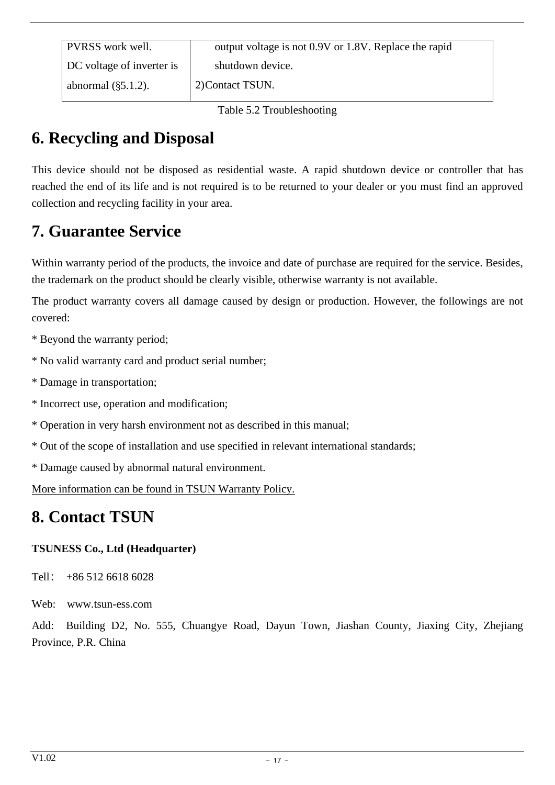Table 5.2 Troubleshooting

# <span id="page-16-0"></span>**6. Recycling and Disposal**

This device should not be disposed as residential waste. A rapid shutdown device or controller that has reached the end of its life and is not required is to be returned to your dealer or you must find an approved collection and recycling facility in your area.

## <span id="page-16-1"></span>**7. Guarantee Service**

Within warranty period of the products, the invoice and date of purchase are required for the service. Besides, the trademark on the product should be clearly visible, otherwise warranty is not available.

The product warranty covers all damage caused by design or production. However, the followings are not covered:

\* Beyond the warranty period;

\* No valid warranty card and product serial number;

- \* Damage in transportation;
- \* Incorrect use, operation and modification;

\* Operation in very harsh environment not as described in this manual;

- \* Out of the scope of installation and use specified in relevant international standards;
- \* Damage caused by abnormal natural environment.

More information can be found in TSUN Warranty Policy.

## <span id="page-16-2"></span>**8. Contact TSUN**

## **TSUNESS Co., Ltd (Headquarter)**

Tell: +86 512 6618 6028

Web: [www.tsun-ess.com](http://www.tsun-ess.com/)

Add: Building D2, No. 555, Chuangye Road, Dayun Town, Jiashan County, Jiaxing City, Zhejiang Province, P.R. China